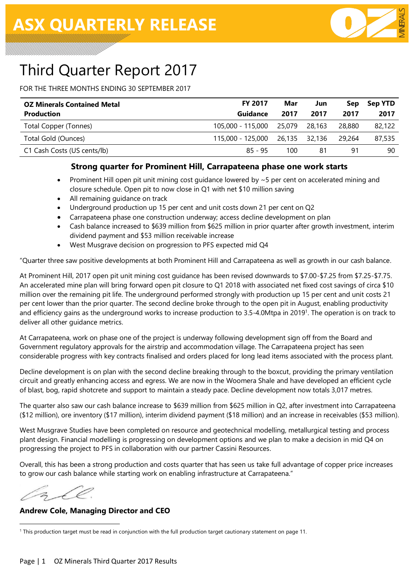

# Third Quarter Report 2017

FOR THE THREE MONTHS ENDING 30 SEPTEMBER 2017

| <b>OZ Minerals Contained Metal</b> | <b>FY 2017</b>                    | Mar  | Jun    | Sep      | <b>Sep YTD</b> |
|------------------------------------|-----------------------------------|------|--------|----------|----------------|
| <b>Production</b>                  | Guidance                          | 2017 | 2017   | 2017     | 2017           |
| Total Copper (Tonnes)              | 105,000 - 115,000 25,079          |      | 28.163 | 28.880   | 82,122         |
| Total Gold (Ounces)                | 115,000 - 125,000  26,135  32,136 |      |        | - 29.264 | 87,535         |
| C1 Cash Costs (US cents/lb)        | $85 - 95$                         | 100  | 81     | 91       | 90             |

#### **Strong quarter for Prominent Hill, Carrapateena phase one work starts**

- Prominent Hill open pit unit mining cost guidance lowered by  $\sim$  5 per cent on accelerated mining and closure schedule. Open pit to now close in Q1 with net \$10 million saving
- All remaining guidance on track
- Underground production up 15 per cent and unit costs down 21 per cent on Q2
- Carrapateena phase one construction underway; access decline development on plan
- Cash balance increased to \$639 million from \$625 million in prior quarter after growth investment, interim dividend payment and \$53 million receivable increase
- West Musgrave decision on progression to PFS expected mid Q4

"Quarter three saw positive developments at both Prominent Hill and Carrapateena as well as growth in our cash balance.

At Prominent Hill, 2017 open pit unit mining cost guidance has been revised downwards to \$7.00-\$7.25 from \$7.25-\$7.75. An accelerated mine plan will bring forward open pit closure to Q1 2018 with associated net fixed cost savings of circa \$10 million over the remaining pit life. The underground performed strongly with production up 15 per cent and unit costs 21 per cent lower than the prior quarter. The second decline broke through to the open pit in August, enabling productivity and efficiency gains as the underground works to increase production to 3.5-4.0Mtpa in 2019<sup>1</sup>. The operation is on track to deliver all other guidance metrics.

At Carrapateena, work on phase one of the project is underway following development sign off from the Board and Government regulatory approvals for the airstrip and accommodation village. The Carrapateena project has seen considerable progress with key contracts finalised and orders placed for long lead items associated with the process plant.

Decline development is on plan with the second decline breaking through to the boxcut, providing the primary ventilation circuit and greatly enhancing access and egress. We are now in the Woomera Shale and have developed an efficient cycle of blast, bog, rapid shotcrete and support to maintain a steady pace. Decline development now totals 3,017 metres.

The quarter also saw our cash balance increase to \$639 million from \$625 million in Q2, after investment into Carrapateena (\$12 million), ore inventory (\$17 million), interim dividend payment (\$18 million) and an increase in receivables (\$53 million).

West Musgrave Studies have been completed on resource and geotechnical modelling, metallurgical testing and process plant design. Financial modelling is progressing on development options and we plan to make a decision in mid Q4 on progressing the project to PFS in collaboration with our partner Cassini Resources.

Overall, this has been a strong production and costs quarter that has seen us take full advantage of copper price increases to grow our cash balance while starting work on enabling infrastructure at Carrapateena."

#### **Andrew Cole, Managing Director and CEO**

 $\ddot{\phantom{a}}$ <sup>1</sup> This production target must be read in conjunction with the full production target cautionary statement on page 11.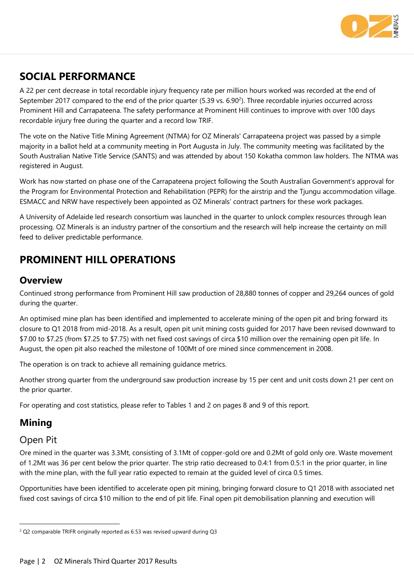

### **SOCIAL PERFORMANCE**

A 22 per cent decrease in total recordable injury frequency rate per million hours worked was recorded at the end of September 2017 compared to the end of the prior quarter (5.39 vs. 6.90 $^2$ ). Three recordable injuries occurred across Prominent Hill and Carrapateena. The safety performance at Prominent Hill continues to improve with over 100 days recordable injury free during the quarter and a record low TRIF.

The vote on the Native Title Mining Agreement (NTMA) for OZ Minerals' Carrapateena project was passed by a simple majority in a ballot held at a community meeting in Port Augusta in July. The community meeting was facilitated by the South Australian Native Title Service (SANTS) and was attended by about 150 Kokatha common law holders. The NTMA was registered in August.

Work has now started on phase one of the Carrapateena project following the South Australian Government's approval for the Program for Environmental Protection and Rehabilitation (PEPR) for the airstrip and the Tjungu accommodation village. ESMACC and NRW have respectively been appointed as OZ Minerals' contract partners for these work packages.

A University of Adelaide led research consortium was launched in the quarter to unlock complex resources through lean processing. OZ Minerals is an industry partner of the consortium and the research will help increase the certainty on mill feed to deliver predictable performance.

### **PROMINENT HILL OPERATIONS**

#### **Overview**

Continued strong performance from Prominent Hill saw production of 28,880 tonnes of copper and 29,264 ounces of gold during the quarter.

An optimised mine plan has been identified and implemented to accelerate mining of the open pit and bring forward its closure to Q1 2018 from mid-2018. As a result, open pit unit mining costs guided for 2017 have been revised downward to \$7.00 to \$7.25 (from \$7.25 to \$7.75) with net fixed cost savings of circa \$10 million over the remaining open pit life. In August, the open pit also reached the milestone of 100Mt of ore mined since commencement in 2008.

The operation is on track to achieve all remaining guidance metrics.

Another strong quarter from the underground saw production increase by 15 per cent and unit costs down 21 per cent on the prior quarter.

For operating and cost statistics, please refer to Tables 1 and 2 on pages 8 and 9 of this report.

### **Mining**

#### Open Pit

 $\ddot{\phantom{a}}$ 

Ore mined in the quarter was 3.3Mt, consisting of 3.1Mt of copper-gold ore and 0.2Mt of gold only ore. Waste movement of 1.2Mt was 36 per cent below the prior quarter. The strip ratio decreased to 0.4:1 from 0.5:1 in the prior quarter, in line with the mine plan, with the full year ratio expected to remain at the guided level of circa 0.5 times.

Opportunities have been identified to accelerate open pit mining, bringing forward closure to Q1 2018 with associated net fixed cost savings of circa \$10 million to the end of pit life. Final open pit demobilisation planning and execution will

<sup>&</sup>lt;sup>2</sup> Q2 comparable TRIFR originally reported as 6.53 was revised upward during Q3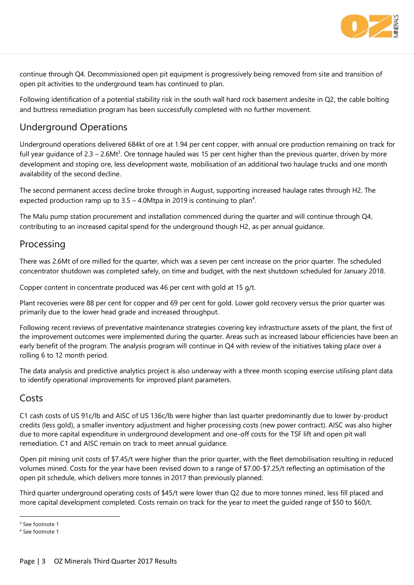

continue through Q4. Decommissioned open pit equipment is progressively being removed from site and transition of open pit activities to the underground team has continued to plan.

Following identification of a potential stability risk in the south wall hard rock basement andesite in Q2, the cable bolting and buttress remediation program has been successfully completed with no further movement.

### Underground Operations

Underground operations delivered 684kt of ore at 1.94 per cent copper, with annual ore production remaining on track for full year guidance of 2.3 – 2.6Mt<sup>3</sup>. Ore tonnage hauled was 15 per cent higher than the previous quarter, driven by more development and stoping ore, less development waste, mobilisation of an additional two haulage trucks and one month availability of the second decline.

The second permanent access decline broke through in August, supporting increased haulage rates through H2. The expected production ramp up to  $3.5 - 4.0$ Mtpa in 2019 is continuing to plan<sup>4</sup>.

The Malu pump station procurement and installation commenced during the quarter and will continue through Q4, contributing to an increased capital spend for the underground though H2, as per annual guidance.

### Processing

There was 2.6Mt of ore milled for the quarter, which was a seven per cent increase on the prior quarter. The scheduled concentrator shutdown was completed safely, on time and budget, with the next shutdown scheduled for January 2018.

Copper content in concentrate produced was 46 per cent with gold at 15 g/t.

Plant recoveries were 88 per cent for copper and 69 per cent for gold. Lower gold recovery versus the prior quarter was primarily due to the lower head grade and increased throughput.

Following recent reviews of preventative maintenance strategies covering key infrastructure assets of the plant, the first of the improvement outcomes were implemented during the quarter. Areas such as increased labour efficiencies have been an early benefit of the program. The analysis program will continue in Q4 with review of the initiatives taking place over a rolling 6 to 12 month period.

The data analysis and predictive analytics project is also underway with a three month scoping exercise utilising plant data to identify operational improvements for improved plant parameters.

#### Costs

C1 cash costs of US 91c/lb and AISC of US 136c/lb were higher than last quarter predominantly due to lower by-product credits (less gold), a smaller inventory adjustment and higher processing costs (new power contract). AISC was also higher due to more capital expenditure in underground development and one-off costs for the TSF lift and open pit wall remediation. C1 and AISC remain on track to meet annual guidance.

Open pit mining unit costs of \$7.45/t were higher than the prior quarter, with the fleet demobilisation resulting in reduced volumes mined. Costs for the year have been revised down to a range of \$7.00-\$7.25/t reflecting an optimisation of the open pit schedule, which delivers more tonnes in 2017 than previously planned.

Third quarter underground operating costs of \$45/t were lower than Q2 due to more tonnes mined, less fill placed and more capital development completed. Costs remain on track for the year to meet the guided range of \$50 to \$60/t.

 $\ddot{\phantom{a}}$ 

<sup>&</sup>lt;sup>3</sup> See footnote 1

<sup>4</sup> See footnote 1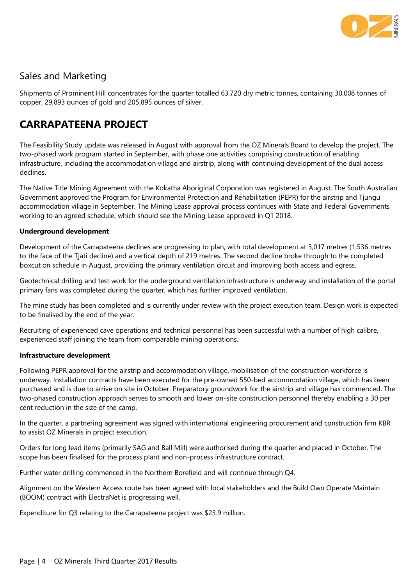

### Sales and Marketing

Shipments of Prominent Hill concentrates for the quarter totalled 63,720 dry metric tonnes, containing 30,008 tonnes of copper, 29,893 ounces of gold and 205,895 ounces of silver.

### **CARRAPATEENA PROJECT**

The Feasibility Study update was released in August with approval from the OZ Minerals Board to develop the project. The two-phased work program started in September, with phase one activities comprising construction of enabling infrastructure, including the accommodation village and airstrip, along with continuing development of the dual access declines.

The Native Title Mining Agreement with the Kokatha Aboriginal Corporation was registered in August. The South Australian Government approved the Program for Environmental Protection and Rehabilitation (PEPR) for the airstrip and Tjungu accommodation village in September. The Mining Lease approval process continues with State and Federal Governments working to an agreed schedule, which should see the Mining Lease approved in Q1 2018.

#### **Underground development**

Development of the Carrapateena declines are progressing to plan, with total development at 3,017 metres (1,536 metres to the face of the Tjati decline) and a vertical depth of 219 metres. The second decline broke through to the completed boxcut on schedule in August, providing the primary ventilation circuit and improving both access and egress.

Geotechnical drilling and test work for the underground ventilation infrastructure is underway and installation of the portal primary fans was completed during the quarter, which has further improved ventilation.

The mine study has been completed and is currently under review with the project execution team. Design work is expected to be finalised by the end of the year.

Recruiting of experienced cave operations and technical personnel has been successful with a number of high calibre, experienced staff joining the team from comparable mining operations.

#### **Infrastructure development**

Following PEPR approval for the airstrip and accommodation village, mobilisation of the construction workforce is underway. Installation contracts have been executed for the pre-owned 550-bed accommodation village, which has been purchased and is due to arrive on site in October. Preparatory groundwork for the airstrip and village has commenced. The two-phased construction approach serves to smooth and lower on-site construction personnel thereby enabling a 30 per cent reduction in the size of the camp.

In the quarter, a partnering agreement was signed with international engineering procurement and construction firm KBR to assist OZ Minerals in project execution.

Orders for long lead items (primarily SAG and Ball Mill) were authorised during the quarter and placed in October. The scope has been finalised for the process plant and non-process infrastructure contract.

Further water drilling commenced in the Northern Borefield and will continue through Q4.

Alignment on the Western Access route has been agreed with local stakeholders and the Build Own Operate Maintain (BOOM) contract with ElectraNet is progressing well.

Expenditure for Q3 relating to the Carrapateena project was \$23.9 million.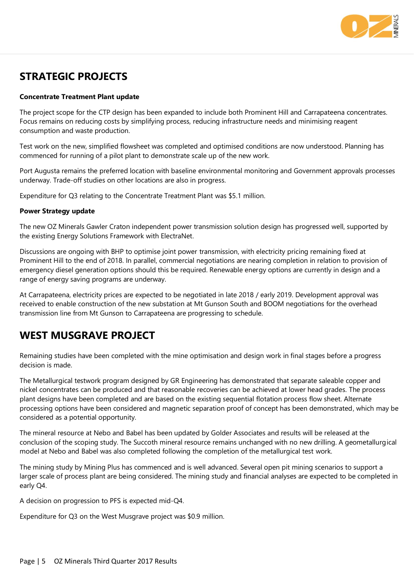

### **STRATEGIC PROJECTS**

#### **Concentrate Treatment Plant update**

The project scope for the CTP design has been expanded to include both Prominent Hill and Carrapateena concentrates. Focus remains on reducing costs by simplifying process, reducing infrastructure needs and minimising reagent consumption and waste production.

Test work on the new, simplified flowsheet was completed and optimised conditions are now understood. Planning has commenced for running of a pilot plant to demonstrate scale up of the new work.

Port Augusta remains the preferred location with baseline environmental monitoring and Government approvals processes underway. Trade-off studies on other locations are also in progress.

Expenditure for Q3 relating to the Concentrate Treatment Plant was \$5.1 million.

#### **Power Strategy update**

The new OZ Minerals Gawler Craton independent power transmission solution design has progressed well, supported by the existing Energy Solutions Framework with ElectraNet.

Discussions are ongoing with BHP to optimise joint power transmission, with electricity pricing remaining fixed at Prominent Hill to the end of 2018. In parallel, commercial negotiations are nearing completion in relation to provision of emergency diesel generation options should this be required. Renewable energy options are currently in design and a range of energy saving programs are underway.

At Carrapateena, electricity prices are expected to be negotiated in late 2018 / early 2019. Development approval was received to enable construction of the new substation at Mt Gunson South and BOOM negotiations for the overhead transmission line from Mt Gunson to Carrapateena are progressing to schedule.

### **WEST MUSGRAVE PROJECT**

Remaining studies have been completed with the mine optimisation and design work in final stages before a progress decision is made.

The Metallurgical testwork program designed by GR Engineering has demonstrated that separate saleable copper and nickel concentrates can be produced and that reasonable recoveries can be achieved at lower head grades. The process plant designs have been completed and are based on the existing sequential flotation process flow sheet. Alternate processing options have been considered and magnetic separation proof of concept has been demonstrated, which may be considered as a potential opportunity.

The mineral resource at Nebo and Babel has been updated by Golder Associates and results will be released at the conclusion of the scoping study. The Succoth mineral resource remains unchanged with no new drilling. A geometallurgical model at Nebo and Babel was also completed following the completion of the metallurgical test work.

The mining study by Mining Plus has commenced and is well advanced. Several open pit mining scenarios to support a larger scale of process plant are being considered. The mining study and financial analyses are expected to be completed in early Q4.

A decision on progression to PFS is expected mid-Q4.

Expenditure for Q3 on the West Musgrave project was \$0.9 million.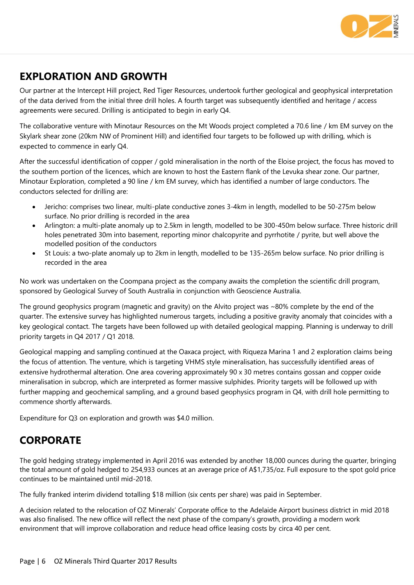

### **EXPLORATION AND GROWTH**

Our partner at the Intercept Hill project, Red Tiger Resources, undertook further geological and geophysical interpretation of the data derived from the initial three drill holes. A fourth target was subsequently identified and heritage / access agreements were secured. Drilling is anticipated to begin in early Q4.

The collaborative venture with Minotaur Resources on the Mt Woods project completed a 70.6 line / km EM survey on the Skylark shear zone (20km NW of Prominent Hill) and identified four targets to be followed up with drilling, which is expected to commence in early Q4.

After the successful identification of copper / gold mineralisation in the north of the Eloise project, the focus has moved to the southern portion of the licences, which are known to host the Eastern flank of the Levuka shear zone. Our partner, Minotaur Exploration, completed a 90 line / km EM survey, which has identified a number of large conductors. The conductors selected for drilling are:

- Jericho: comprises two linear, multi-plate conductive zones 3-4km in length, modelled to be 50-275m below surface. No prior drilling is recorded in the area
- Arlington: a multi-plate anomaly up to 2.5km in length, modelled to be 300-450m below surface. Three historic drill holes penetrated 30m into basement, reporting minor chalcopyrite and pyrrhotite / pyrite, but well above the modelled position of the conductors
- St Louis: a two-plate anomaly up to 2km in length, modelled to be 135-265m below surface. No prior drilling is recorded in the area

No work was undertaken on the Coompana project as the company awaits the completion the scientific drill program, sponsored by Geological Survey of South Australia in conjunction with Geoscience Australia.

The ground geophysics program (magnetic and gravity) on the Alvito project was ~80% complete by the end of the quarter. The extensive survey has highlighted numerous targets, including a positive gravity anomaly that coincides with a key geological contact. The targets have been followed up with detailed geological mapping. Planning is underway to drill priority targets in Q4 2017 / Q1 2018.

Geological mapping and sampling continued at the Oaxaca project, with Riqueza Marina 1 and 2 exploration claims being the focus of attention. The venture, which is targeting VHMS style mineralisation, has successfully identified areas of extensive hydrothermal alteration. One area covering approximately 90 x 30 metres contains gossan and copper oxide mineralisation in subcrop, which are interpreted as former massive sulphides. Priority targets will be followed up with further mapping and geochemical sampling, and a ground based geophysics program in Q4, with drill hole permitting to commence shortly afterwards.

Expenditure for Q3 on exploration and growth was \$4.0 million.

### **CORPORATE**

The gold hedging strategy implemented in April 2016 was extended by another 18,000 ounces during the quarter, bringing the total amount of gold hedged to 254,933 ounces at an average price of A\$1,735/oz. Full exposure to the spot gold price continues to be maintained until mid-2018.

The fully franked interim dividend totalling \$18 million (six cents per share) was paid in September.

A decision related to the relocation of OZ Minerals' Corporate office to the Adelaide Airport business district in mid 2018 was also finalised. The new office will reflect the next phase of the company's growth, providing a modern work environment that will improve collaboration and reduce head office leasing costs by circa 40 per cent.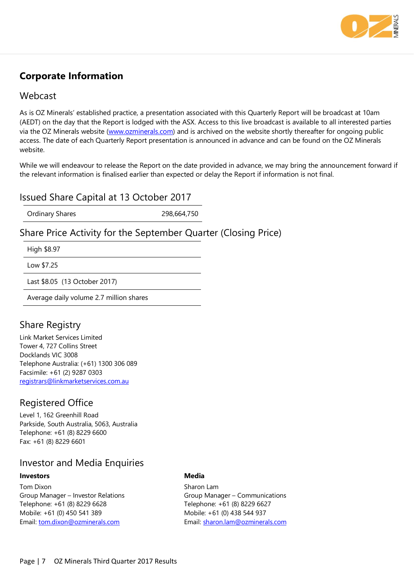

### **Corporate Information**

#### Webcast

As is OZ Minerals' established practice, a presentation associated with this Quarterly Report will be broadcast at 10am (AEDT) on the day that the Report is lodged with the ASX. Access to this live broadcast is available to all interested parties via the OZ Minerals website [\(www.ozminerals.com\)](http://www.ozminerals.com/) and is archived on the website shortly thereafter for ongoing public access. The date of each Quarterly Report presentation is announced in advance and can be found on the OZ Minerals website.

While we will endeavour to release the Report on the date provided in advance, we may bring the announcement forward if the relevant information is finalised earlier than expected or delay the Report if information is not final.

#### Issued Share Capital at 13 October 2017

Ordinary Shares 298,664,750

### Share Price Activity for the September Quarter (Closing Price)

High \$8.97

Low \$7.25

Last \$8.05 (13 October 2017)

Average daily volume 2.7 million shares

### Share Registry

Link Market Services Limited Tower 4, 727 Collins Street Docklands VIC 3008 Telephone Australia: (+61) 1300 306 089 Facsimile: +61 (2) 9287 0303 [registrars@linkmarketservices.com.au](mailto:registrars@linkmarketservices.com.au)

### Registered Office

Level 1, 162 Greenhill Road Parkside, South Australia, 5063, Australia Telephone: +61 (8) 8229 6600 Fax: +61 (8) 8229 6601

#### Investor and Media Enquiries

#### **Investors**

Tom Dixon Group Manager – Investor Relations Telephone: +61 (8) 8229 6628 Mobile: +61 (0) 450 541 389 Email: [tom.dixon@ozminerals.com](mailto:tom.dixon@ozminerals.com)

#### **Media**

Sharon Lam Group Manager – Communications Telephone: +61 (8) 8229 6627 Mobile: +61 (0) 438 544 937 Email: [sharon.lam@ozminerals.com](mailto:sharon.lam@ozminerals.com)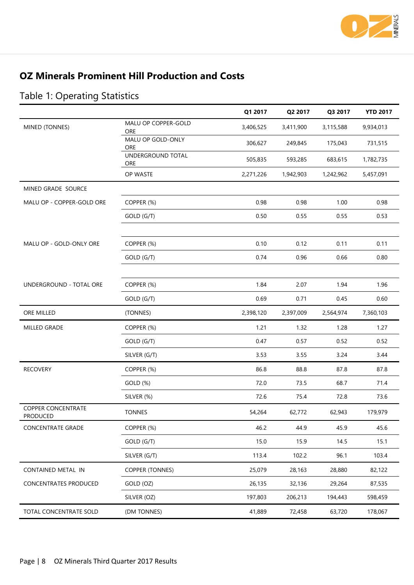

### **OZ Minerals Prominent Hill Production and Costs**

|                                       |                            | Q1 2017   | Q2 2017   | Q3 2017   | <b>YTD 2017</b> |
|---------------------------------------|----------------------------|-----------|-----------|-----------|-----------------|
| MINED (TONNES)                        | MALU OP COPPER-GOLD<br>ORE | 3,406,525 | 3,411,900 | 3,115,588 | 9,934,013       |
|                                       | MALU OP GOLD-ONLY<br>ORE   | 306,627   | 249,845   | 175,043   | 731,515         |
|                                       | UNDERGROUND TOTAL<br>ORE   | 505,835   | 593,285   | 683,615   | 1,782,735       |
|                                       | OP WASTE                   | 2,271,226 | 1,942,903 | 1,242,962 | 5,457,091       |
| MINED GRADE SOURCE                    |                            |           |           |           |                 |
| MALU OP - COPPER-GOLD ORE             | COPPER (%)                 | 0.98      | 0.98      | 1.00      | 0.98            |
|                                       | GOLD (G/T)                 | 0.50      | 0.55      | 0.55      | 0.53            |
|                                       |                            |           |           |           |                 |
| MALU OP - GOLD-ONLY ORE               | COPPER (%)                 | 0.10      | 0.12      | 0.11      | 0.11            |
|                                       | GOLD (G/T)                 | 0.74      | 0.96      | 0.66      | 0.80            |
|                                       |                            |           |           |           |                 |
| UNDERGROUND - TOTAL ORE               | COPPER (%)                 | 1.84      | 2.07      | 1.94      | 1.96            |
|                                       | GOLD (G/T)                 | 0.69      | 0.71      | 0.45      | 0.60            |
| ORE MILLED                            | (TONNES)                   | 2,398,120 | 2,397,009 | 2,564,974 | 7,360,103       |
| MILLED GRADE                          | COPPER (%)                 | 1.21      | 1.32      | 1.28      | 1.27            |
|                                       | GOLD (G/T)                 | 0.47      | 0.57      | 0.52      | 0.52            |
|                                       | SILVER (G/T)               | 3.53      | 3.55      | 3.24      | 3.44            |
| <b>RECOVERY</b>                       | COPPER (%)                 | 86.8      | 88.8      | 87.8      | 87.8            |
|                                       | GOLD (%)                   | 72.0      | 73.5      | 68.7      | 71.4            |
|                                       | SILVER (%)                 | 72.6      | 75.4      | 72.8      | 73.6            |
| <b>COPPER CONCENTRATE</b><br>PRODUCED | <b>TONNES</b>              | 54,264    | 62,772    | 62,943    | 179,979         |
| <b>CONCENTRATE GRADE</b>              | COPPER (%)                 | 46.2      | 44.9      | 45.9      | 45.6            |
|                                       | GOLD (G/T)                 | 15.0      | 15.9      | 14.5      | 15.1            |
|                                       | SILVER (G/T)               | 113.4     | 102.2     | 96.1      | 103.4           |
| CONTAINED METAL IN                    | <b>COPPER (TONNES)</b>     | 25,079    | 28,163    | 28,880    | 82,122          |
| CONCENTRATES PRODUCED                 | GOLD (OZ)                  | 26,135    | 32,136    | 29,264    | 87,535          |
|                                       | SILVER (OZ)                | 197,803   | 206,213   | 194,443   | 598,459         |
| TOTAL CONCENTRATE SOLD                | (DM TONNES)                | 41,889    | 72,458    | 63,720    | 178,067         |

# Table 1: Operating Statistics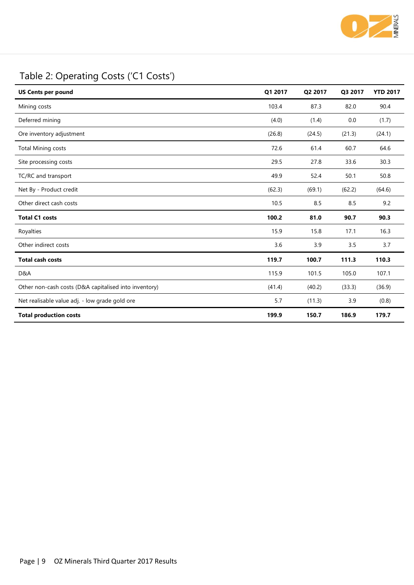

## Table 2: Operating Costs ('C1 Costs')

| <b>US Cents per pound</b>                             | Q1 2017 | Q2 2017 | Q3 2017 | <b>YTD 2017</b> |
|-------------------------------------------------------|---------|---------|---------|-----------------|
| Mining costs                                          | 103.4   | 87.3    | 82.0    | 90.4            |
| Deferred mining                                       | (4.0)   | (1.4)   | 0.0     | (1.7)           |
| Ore inventory adjustment                              | (26.8)  | (24.5)  | (21.3)  | (24.1)          |
| <b>Total Mining costs</b>                             | 72.6    | 61.4    | 60.7    | 64.6            |
| Site processing costs                                 | 29.5    | 27.8    | 33.6    | 30.3            |
| TC/RC and transport                                   | 49.9    | 52.4    | 50.1    | 50.8            |
| Net By - Product credit                               | (62.3)  | (69.1)  | (62.2)  | (64.6)          |
| Other direct cash costs                               | 10.5    | 8.5     | 8.5     | 9.2             |
| <b>Total C1 costs</b>                                 | 100.2   | 81.0    | 90.7    | 90.3            |
| Royalties                                             | 15.9    | 15.8    | 17.1    | 16.3            |
| Other indirect costs                                  | 3.6     | 3.9     | 3.5     | 3.7             |
| <b>Total cash costs</b>                               | 119.7   | 100.7   | 111.3   | 110.3           |
| D&A                                                   | 115.9   | 101.5   | 105.0   | 107.1           |
| Other non-cash costs (D&A capitalised into inventory) | (41.4)  | (40.2)  | (33.3)  | (36.9)          |
| Net realisable value adj. - low grade gold ore        | 5.7     | (11.3)  | 3.9     | (0.8)           |
| <b>Total production costs</b>                         | 199.9   | 150.7   | 186.9   | 179.7           |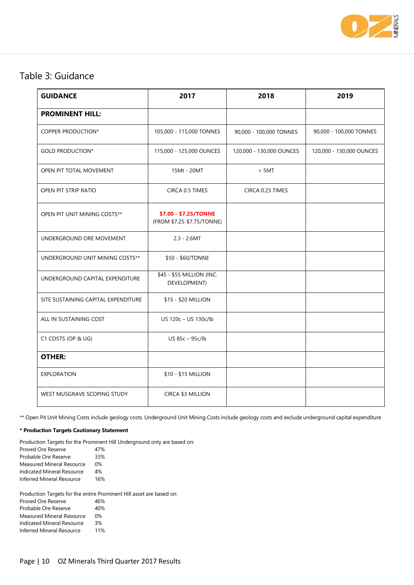

### Table 3: Guidance

| <b>GUIDANCE</b>                     | 2017                                                | 2018                     | 2019                     |
|-------------------------------------|-----------------------------------------------------|--------------------------|--------------------------|
| <b>PROMINENT HILL:</b>              |                                                     |                          |                          |
| COPPER PRODUCTION*                  | 105,000 - 115,000 TONNES                            | 90,000 - 100,000 TONNES  | 90,000 - 100,000 TONNES  |
| <b>GOLD PRODUCTION*</b>             | 115,000 - 125,000 OUNCES                            | 120,000 - 130,000 OUNCES | 120,000 - 130,000 OUNCES |
| OPEN PIT TOTAL MOVEMENT             | 15Mt - 20MT                                         | $<$ 5MT                  |                          |
| OPEN PIT STRIP RATIO                | CIRCA 0.5 TIMES                                     | CIRCA 0.25 TIMES         |                          |
| OPEN PIT UNIT MINING COSTS**        | \$7.00 - \$7.25/TONNE<br>(FROM \$7.25-\$7.75/TONNE) |                          |                          |
| UNDERGROUND ORE MOVEMENT            | $2.3 - 2.6MT$                                       |                          |                          |
| UNDERGROUND UNIT MINING COSTS**     | \$50 - \$60/TONNE                                   |                          |                          |
| UNDERGROUND CAPITAL EXPENDITURE     | \$45 - \$55 MILLION (INC.<br>DEVELOPMENT)           |                          |                          |
| SITE SUSTAINING CAPITAL EXPENDITURE | \$15 - \$20 MILLION                                 |                          |                          |
| ALL IN SUSTAINING COST              | US 120c - US 130c/lb                                |                          |                          |
| C1 COSTS (OP & UG)                  | US 85c - 95c/lb                                     |                          |                          |
| <b>OTHER:</b>                       |                                                     |                          |                          |
| EXPLORATION                         | \$10 - \$15 MILLION                                 |                          |                          |
| WEST MUSGRAVE SCOPING STUDY         | CIRCA \$3 MILLION                                   |                          |                          |

\*\* Open Pit Unit Mining Costs include geology costs. Underground Unit Mining Costs include geology costs and exclude underground capital expenditure

#### **\* Production Targets Cautionary Statement**

Production Targets for the Prominent Hill Underground only are based on:

Proved Ore Reserve 47% Probable Ore Reserve 33% Measured Mineral Resource 0% Indicated Mineral Resource 4% Inferred Mineral Resource 16%

Production Targets for the entire Prominent Hill asset are based on:

| Proved Ore Reserve                | 46%   |
|-----------------------------------|-------|
| Probable Ore Reserve              | 40%   |
| Measured Mineral Resource         | $0\%$ |
| <b>Indicated Mineral Resource</b> | 3%    |
| <b>Inferred Mineral Resource</b>  | 11%   |
|                                   |       |